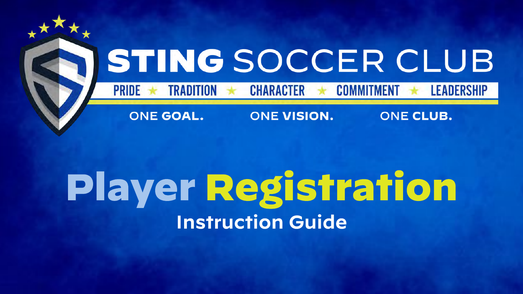

## Player Registration Instruction Guide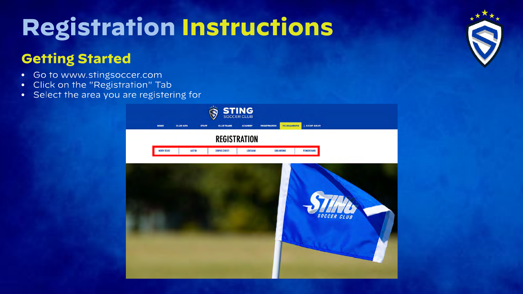### Getting Started

- Go to www.stingsoccer.com  $\bullet$  .
- Click on the "Registration" Tab  $\bullet$
- Select the area you are registering for



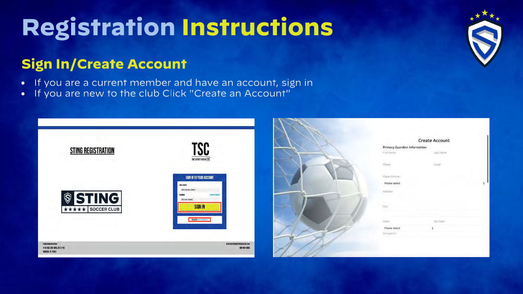### Sign In/Create Account

- If you are a current member and have an account, sign in
- If you are new to the club Click "Create an Account"  $\bullet$

| <b>STING REGISTRATION</b>                                         | TSC<br>THE SPORT CHECK                                                                                                                                                                    |
|-------------------------------------------------------------------|-------------------------------------------------------------------------------------------------------------------------------------------------------------------------------------------|
| <b>STING</b><br>$\mathbin{\widehat{\otimes}}$<br>**** SOCCER CLUB | SIGN IN TO YOUR ACCOUNT<br>EMAIL ADDRESS<br>FRFTR YOUR ERGIA ZURRESS.<br><b>PLOVIDE</b><br><b>That Arts</b><br>ERTER HILM PASSIMUSI<br><b>SIGN IN</b><br><b>NEW ASSOCIATE AND ARRESTS</b> |
|                                                                   | REGISTRATION@STINGSOCCER.COM                                                                                                                                                              |



|                              | <b>Create Account</b> |
|------------------------------|-----------------------|
| Primary Guardian Information |                       |
| First Name                   | Last Name             |
| Phone.                       | Email                 |
| Player Division              |                       |
| Please select                |                       |
| Address                      |                       |
| City                         |                       |
| State                        | Zip Code              |
| Please select                | ¢                     |
| Docupation                   |                       |

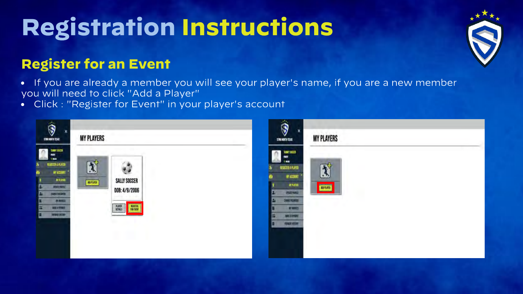### **Register for an Event**

If you are already a member you will see your player's name, if you are a new member you will need to click "Add a Player"

Click : "Register for Event" in your player's account  $\bullet$ 

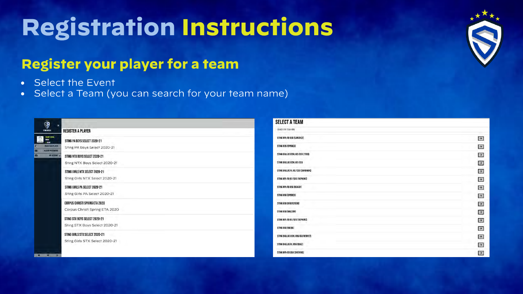### **Register your player for a team**

- Select the Event
- Select a Team (you can search for your team name)



| SELECT A TEAM                     |                       |
|-----------------------------------|-----------------------|
| SEARCH FOR TEAM NERE              |                       |
| STING NPL-TB 03G (SANCHEZ)        | $\rightarrow$         |
| STING 02G (SPENCE)                | $\rightarrow$         |
| STING DALLAS ECNL 02/036 [TATU]   | $\rightarrow$         |
| STING DALLAS ECNL 02/03G          | $\rightarrow$         |
| STING DALLAS RL 02/036 (BORUNDA)  | $\vert \cdot \rangle$ |
| STING NPL-TB 02/036 (HOPKINS)     | $\rightarrow$         |
| STING NPL-TB 05G (ROACH)          | $\rightarrow$         |
| STING 056 (SPENCE)                | $\rightarrow$         |
| STING 05G (HALVERSON)             | $\rightarrow$         |
| STING 056 (WILSON)                | $\rightarrow$         |
| STING NPL-TB 01/026 (HOPKINS)     | $\rightarrow$         |
| STING OGG (WEBB)                  | $\rightarrow$         |
| STING DALLAS ECNL 05G (GUTIERREZ) | $\rightarrow$         |
| STING DALLAS RL 05G (DIAZ)        | $\rightarrow$         |
| STING NPL-CB 05G (SHEPARD)        | $\rightarrow$         |

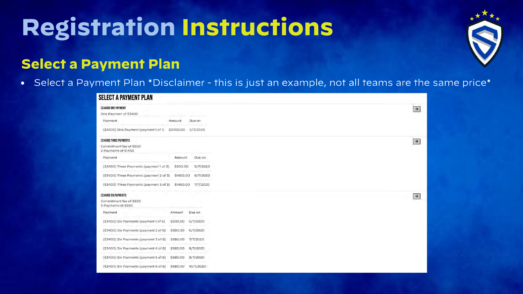

### Select a Payment Plan

• Select a Payment Plan \*Disclaimer - this is just an example, not all teams are the same price\*

| <b>SELECT A PAYMENT PLAN</b>                    |           |           |               |
|-------------------------------------------------|-----------|-----------|---------------|
| (\$3400) ONE PAYMENT                            |           |           | $\rightarrow$ |
| One Payment of \$3400                           |           |           |               |
| Payment                                         | Amount    | Due on    |               |
| (\$3400) One Payment (payment 1 of 1) \$3400.00 |           | 5/7/2020  |               |
| (\$3400) THREE PAYMENTS                         |           |           | $\rightarrow$ |
| Commitment fee of \$500<br>2 Payments of \$1450 |           |           |               |
| Payment                                         | Amount    | Due on    |               |
| (\$3400) Three Payments (payment 1 of 3)        | \$500.00  | 5/7/2020  |               |
| (\$3400) Three Payments (payment 2 of 3)        | \$1450.00 | 6/7/2020  |               |
| (\$3400) Three Payments (payment 3 of 3)        | \$1450.00 | 7/7/2020  |               |
| [\$3400] SIX PAYMENTS                           |           |           | $\rightarrow$ |
| Commitment fee of \$500<br>5 Payments of \$580  |           |           |               |
| Payment                                         | Amount    | Due on    |               |
| (\$3400) Six Payments (payment 1 of 6)          | \$500.00  | 5/7/2020  |               |
| (\$3400) Six Payments (payment 2 of 6)          | \$580.00  | 6/7/2020  |               |
| (\$3400) Six Payments (payment 3 of 6)          | \$580.00  | 7/7/2020  |               |
| (\$3400) Six Payments (payment 4 of 6)          | \$580.00  | 8/7/2020  |               |
| (\$3400) Six Payments (payment 5 of 6)          | \$580.00  | 9/7/2020  |               |
| (\$3400) Six Payments (payment 6 of 6) \$580.00 |           | 10/7/2020 |               |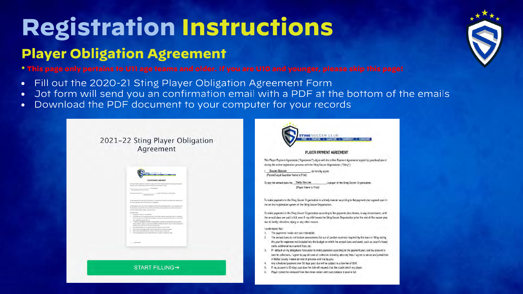### Player Obligation Agreement

 $^\ast$  This page only pertains to U11 age teams and older. If you are U10 and younger, please skip this page!

- Fill out the 2020-21 Sting Player Obligation Agreement Form  $\bullet$
- Jot form will send you an confirmation email with a PDF at the bottom of the emails
- Download the PDF document to your computer for your records  $\bullet$

2021-22 Sting Player Obligation Agreement

|               | <b>PLAYS PANENT AGE ENENT</b>                                                                                                                                                                                                                                         |
|---------------|-----------------------------------------------------------------------------------------------------------------------------------------------------------------------------------------------------------------------------------------------------------------------|
|               | To Rays Rainer Spread. The execit: April 40 for alter Senat Aprend models parkered to                                                                                                                                                                                 |
|               | Artist This widow<br>ed all the State County County Park 1                                                                                                                                                                                                            |
|               | <b>Experience</b>                                                                                                                                                                                                                                                     |
|               |                                                                                                                                                                                                                                                                       |
|               |                                                                                                                                                                                                                                                                       |
|               | <b>Floor Ston &amp; Food</b>                                                                                                                                                                                                                                          |
|               | It really discovered by the 1994s haven' Thursdollands in a detectiveness countries that allowed class contributions of                                                                                                                                               |
|               | We are this required for suppose of the Dany Ancore Councillones.                                                                                                                                                                                                     |
|               | In the passes in the discrimination of the present product state of the discrimination of                                                                                                                                                                             |
|               |                                                                                                                                                                                                                                                                       |
|               |                                                                                                                                                                                                                                                                       |
|               | Branod declarosist VIII, win Cay INDINIA Dr Day Days To position por turbe with the prior<br>by the first production, by a site after sing.                                                                                                                           |
|               | address to their                                                                                                                                                                                                                                                      |
| ٠             | Technical<br><b>Indiana is announced a contact</b>                                                                                                                                                                                                                    |
| ×.            | The second dark above that any converse for a child priced dependent counter in the first in the<br>the majority approves and annivalent to the highet on which the situate data at this and the dot                                                                  |
| $\sim$        | vold. All-Broad can denoted from the                                                                                                                                                                                                                                  |
| ٠             |                                                                                                                                                                                                                                                                       |
|               | in the price country of a street and contact and in the state.                                                                                                                                                                                                        |
| $\alpha$      | Truthed as to drivers directly transporters a core to A fill correspond and so a core to<br>with addition, higher team it could allow to take show this higher to with with with<br>the Annitori instance and 30 days and 4 found for reduct to a time for all first. |
| s.            | This are considered fit single panel show that shall of the papel of that the closed investment shall.                                                                                                                                                                |
| $\rightarrow$ | There colours in a capacity was to an interest and contract and the major and the colour states of                                                                                                                                                                    |
| ٠             | I NATION CALINER AND LOD A STORY. The Auto a SALMATIC A McDecile House                                                                                                                                                                                                |
|               |                                                                                                                                                                                                                                                                       |
|               |                                                                                                                                                                                                                                                                       |

**START FILLING→** 

### STING SOCCER CLUB TION . CHARACTER . COMMITMEN

### PLAYER PAYMENT AGREEMENT

This Player Payment Agreement ("Agreement") aligns with the online Payment Agreement signed by quardian/parent during the online registration process with the Sting Soccer Organization ("Sting").

Susan Soccer , do hereby agree. (Parent/Legal Guardian Name in Print)

To pay the annual dues for, Sally Soccer , a player of the Sting Soccer Organization. (Player Name in Print)

To make payments to the Sting Soccer Organization in a timely manner according to the payment plan agreed upon in the on-line registration system of the Sting Soccer Organization.

To make payments to the Sting Soccer Organization according to the payment plan chosen, in any circumstance, until the annual dues are paid in full, even if my child leaves the Sting Soccer Organization prior the end of the soccer year due to family relocation, injury, or any other reason.

### I understand that

- 1. The payments I make are non-refundable.
- 2. The annual dues do not include assessments for out of pocket expenses required by the team or Sting during the year for expenses not included into the budget on which the annual dues are based, such as coach's travel costs, additional tournament fees, etc.
- 3. If I default on my obligations hereunder to make payments according to the payment plan, and my account is sent to collections, I agree to pay all costs of collection including attorney fees. I agree to venue and jurisdiction in Dallas County. I waive service of process and trial by jury.
- Any scheduled payment over 30 days past due will be subject to a late fee of \$39.
- If my account is 60 days past due the club will request that the coach bench my player.
- Player cannot be released from their team roster until dues balance is paid in full.

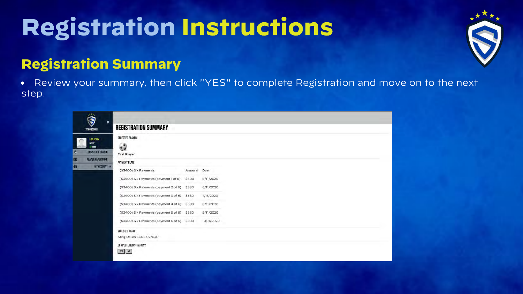

### **Registration Summary**

• Review your summary, then click "YES" to complete Registration and move on to the next step.

| <b>REGISTRATION SUMMARY</b>                  |        |            |  |
|----------------------------------------------|--------|------------|--|
| <b>SELECTED PLAYER:</b>                      |        |            |  |
| $\bullet$                                    |        |            |  |
| <b>Test Player</b>                           |        |            |  |
| <b>PAYMENT PLAN:</b>                         |        |            |  |
| (\$3400) Six Payments                        | Amount | Due        |  |
| (\$3400) Six Payments (payment 1 of 6)       | \$500  | 5/11/2020  |  |
| (\$3400) Six Payments (payment 2 of 6)       | \$580  | 6/11/2020  |  |
| (\$3400) Six Payments (payment 3 of 6)       | \$580  | 7/11/2020  |  |
| (\$3400) Six Payments (payment 4 of 6) \$580 |        | 8/11/2020  |  |
| (\$3400) Six Payments (payment 5 of 6) \$580 |        | 9/11/2020  |  |
| (\$3400) Six Payments (payment 6 of 6)       | \$580  | 10/11/2020 |  |
| <b>SELECTED TEAM:</b>                        |        |            |  |
| Sting Dallas ECNL 02/03G                     |        |            |  |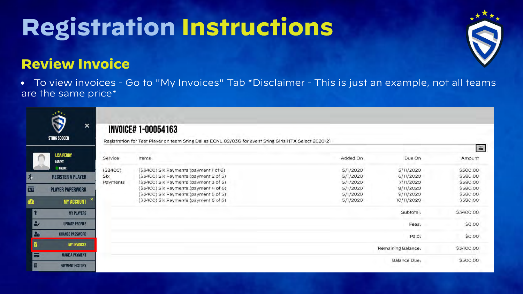### **Review Invoice**

• To view invoices - Go to "My Invoices" Tab \*Disclaimer - This is just an example, not all teams are the same price\*

|                 | $x^{\star\star}$<br>×<br><b>STING SOCCER</b> |                | <b>INVOICE# 1-00054163</b><br>Registration for Test Player on team Sting Dallas ECNL 02/03G for event Sting Girls NTX Select 2020-21 |                      |                         | $\equiv$                         |
|-----------------|----------------------------------------------|----------------|--------------------------------------------------------------------------------------------------------------------------------------|----------------------|-------------------------|----------------------------------|
|                 | <b>LISA PERRY</b><br><b>PARENT</b>           | Service        | Items                                                                                                                                | Added On             | Due On                  | Amount                           |
| $\mathcal{P}_i$ | ONLINE<br><b>REGISTER A PLAYER</b>           | (53400)<br>Six | (\$3400) Six Payments (payment 1 of 6)<br>(\$3400) Six Payments (payment 2 of 6)<br>(\$3400) Six Payments (payment 3 of 6)           | 5/1/2020<br>5/1/2020 | 5/11/2020<br>6/11/2020  | \$500.00<br>\$580.00<br>\$580.00 |
| 面               | <b>PLAYER PAPERWORK</b>                      | Payments       | (\$3400) Six Payments (payment 4 of 6)                                                                                               | 5/1/2020<br>5/1/2020 | 7/11/2020<br>8/11/2020  | \$580.00                         |
| ☎               | <b>MY ACCOUNT</b>                            |                | (\$3400) Six Payments (payment 5 of 6)<br>(\$3400) Six Payments (payment 6 of 6)                                                     | 5/1/2020<br>5/1/2020 | 9/11/2020<br>10/11/2020 | \$580.00<br>\$580.00             |
| Y               | <b>MY PLAYERS</b>                            |                |                                                                                                                                      |                      | Subtotal:               | \$3400.00                        |
| $\bullet$       | <b>UPDATE PROFILE</b>                        |                |                                                                                                                                      |                      | Fees:                   | \$0.00                           |
| 28              | <b>CHANGE PASSWORD</b>                       |                |                                                                                                                                      |                      | Paid:                   | \$0.00                           |
| H               | <b>MY INVOICES</b>                           |                |                                                                                                                                      |                      | Remaining Balance:      | \$3400.00                        |
| $\equiv$        | <b>MAKE A PAYMENT</b>                        |                |                                                                                                                                      |                      | Balance Due:            | \$500.00                         |
|                 | <b>PAYMENT HISTORY</b>                       |                |                                                                                                                                      |                      |                         |                                  |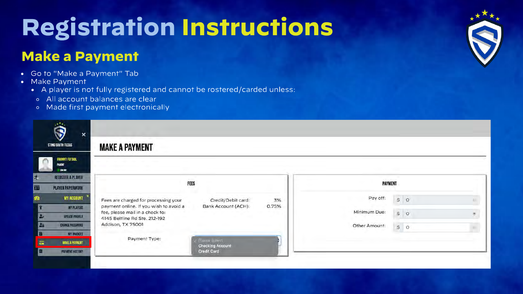### Make a Payment

- Go to "Make a Payment" Tab
- Make Payment
	- A player is not fully registered and cannot be rostered/carded unless:
	- All account balances are clear
	- Made first payment electronically



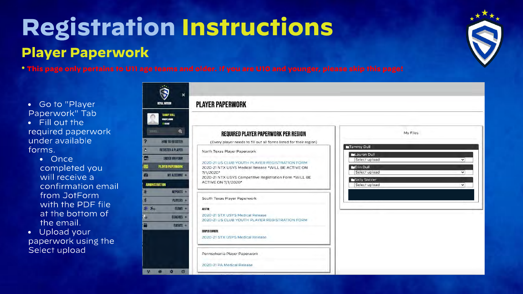### Registration Instructions Player Paperwork

**D** 



 $^\ast$  This page only pertains to U11 age teams and older. If you are U10 and younger, please skip this page!

- Go to "Player Paperwork" Tab
- Fill out the required paperwork under available forms.
	- Once completed you will receive a confirmation email from JotForm with the PDF file at the bottom of the email.
- Upload your paperwork using the Select upload

|                                                           | <b>PLAYER PAPERWORK</b>                                                                               |
|-----------------------------------------------------------|-------------------------------------------------------------------------------------------------------|
| <b>TAMMY DULL</b><br><b>PARENT ADMIN</b><br><b>ONLINE</b> |                                                                                                       |
| $\alpha$                                                  | REQUIRED PLAYER PAPERWORK PER REGION                                                                  |
| <b>HOW TO REGISTER</b>                                    | (Every player needs to fill out all forms listed for their region)                                    |
| <b>REGISTER A PLAYER</b>                                  | North Texas Player Paperwork                                                                          |
| <b>DRDER UNIFORM</b>                                      |                                                                                                       |
| <b>PLAYER PAPERWORK</b>                                   | 2020-21 US CLUB YOUTH PLAYER REGISTRATION FORM<br>2020-21 NTX USYS Medical Release *WILL BE ACTIVE ON |
| MY ACCOUNT +                                              | $7/1/2020$ *                                                                                          |
|                                                           | 2020-21 NTX USYS Competitive Registration Form *WILL BE<br>ACTIVE ON 7/1/2020*                        |
| REPORTS +                                                 |                                                                                                       |
| PLAYERS +                                                 | South Texas Player Paperwork                                                                          |
|                                                           |                                                                                                       |
| TEAMS +                                                   | <b>AUSTIN-</b>                                                                                        |
| COACHES +                                                 | 2020-21 STX USYS Medical Release<br>2020-21 US CLUB YOUTH PLAYER REGISTRATION FORM                    |
| $EVENTS +$                                                |                                                                                                       |
|                                                           | <b>CORPUS CHRISTI:</b>                                                                                |
|                                                           | 2020-21 STX USYS Medical Release                                                                      |

2020-21 PA Medical Release

| Lauren Dull       |              |
|-------------------|--------------|
| Select upload     | v            |
| <b>LErin Dull</b> |              |
| Select upload     | $\checkmark$ |
| Sally Soccer      |              |
| Select upload     | v            |
|                   |              |
|                   |              |
|                   |              |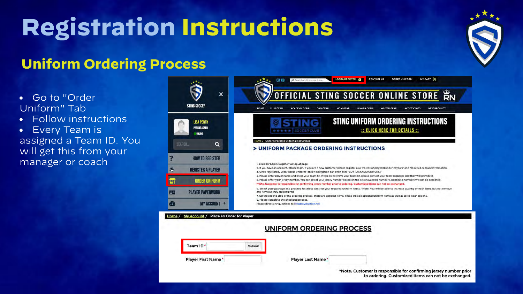### Uniform Ordering Process

Go to "Order Uniform" Tab

Follow instructions  $\bullet$ 

Every Team is assigned a Team ID. You will get this from your manager or coach

| $\boldsymbol{\mathsf{x}}$<br><b>STING SOCCER</b>                                                                    | MY CART<br>LOGIN/REGISTER O<br><b>CONTACT US</b><br><b>ORDER UNIFORM</b><br><b>GO</b><br>O Search entire store here.<br>OFFICIAL STING SOCCER ONLINE STORE BN<br>HOME<br><b>CLUB GEAR</b><br><b>ACADEMY GEAR</b><br><b>DAD GEAR</b><br><b>MOM GEAR</b><br><b>PLAYER GEAR</b><br><b>WINTER GEAR</b><br><b>ACCESSORIES</b><br><b>NEW PRODUCT</b>                                                                                                                                                                                                                                                                                                                                                                                                                                                                                                                                                                                                                                                                                                                                                                                                               |
|---------------------------------------------------------------------------------------------------------------------|--------------------------------------------------------------------------------------------------------------------------------------------------------------------------------------------------------------------------------------------------------------------------------------------------------------------------------------------------------------------------------------------------------------------------------------------------------------------------------------------------------------------------------------------------------------------------------------------------------------------------------------------------------------------------------------------------------------------------------------------------------------------------------------------------------------------------------------------------------------------------------------------------------------------------------------------------------------------------------------------------------------------------------------------------------------------------------------------------------------------------------------------------------------|
| <b>LISA PERRY</b><br><b>PARENT, ADMIN</b><br>ONLINE<br>SEARCH.<br>Q                                                 | STING UNIFORM ORDERING INSTRUCTIONS<br>:: CLICK HERE FOR DETAILS ::<br><b>OCCERCLU</b><br>Home / Uniform Package Ordering Instructions                                                                                                                                                                                                                                                                                                                                                                                                                                                                                                                                                                                                                                                                                                                                                                                                                                                                                                                                                                                                                       |
| <b>HOW TO REGISTER</b><br><b>REGISTER A PLAYER</b><br><b>ORDER UNIFORM</b><br>ப<br><b>PLAYER PAPERWORK</b><br>$2 =$ | > UNIFORM PACKAGE ORDERING INSTRUCTIONS<br>1. Click on "Login/Register" at top of page.<br>2. If you have an account, please login. If you are a new customer please register as a "Parent of player(s) under 21 years" and fill out all account information.<br>3. Once registered, Click "Order Uniform" on left navigation bar. Then click "BUY PACKAGE/UNIFORM"<br>4. Please enter player name and enter your team ID. If you do not have your team ID, please contact your team manager and they will provide it.<br>5. Please enter your jersey number. You can select your jersey number based on the list of available numbers. Duplicate numbers will not be accepted.<br>*Note: Customer is responsible for confirming jersey number prior to ordering. Customized items can not be exchanged.<br>6. Select your package and proceed to select sizes for your required uniform items. *Note: You will be able to increase quantly of each item, but not remove<br>any items as they are required.<br>7. On the second step of the ordering process, there are optional items. These include optional uniform items as well as spirit wear options. |
| MY ACCOUNT +<br>Œ<br>Place an Order for Player<br>Home<br>My Account /                                              | 8. Please complete the checkout process.<br>Please direct any questions to info@royalnation.net<br>UNIFORM ORDERING PROCESS                                                                                                                                                                                                                                                                                                                                                                                                                                                                                                                                                                                                                                                                                                                                                                                                                                                                                                                                                                                                                                  |
| Team ID*<br>Player First Name*                                                                                      | Submit<br>Player Last Name*                                                                                                                                                                                                                                                                                                                                                                                                                                                                                                                                                                                                                                                                                                                                                                                                                                                                                                                                                                                                                                                                                                                                  |
|                                                                                                                     | *Note: Customer is responsible for confirming jersey number prior<br>to ordering. Customized items can not be exchanged.                                                                                                                                                                                                                                                                                                                                                                                                                                                                                                                                                                                                                                                                                                                                                                                                                                                                                                                                                                                                                                     |